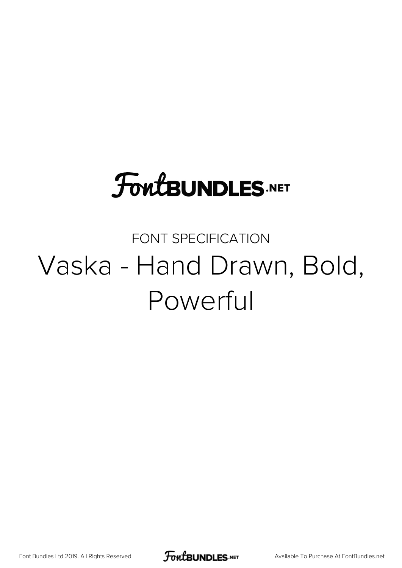## **FoutBUNDLES.NET**

#### FONT SPECIFICATION Vaska - Hand Drawn, Bold, Powerful

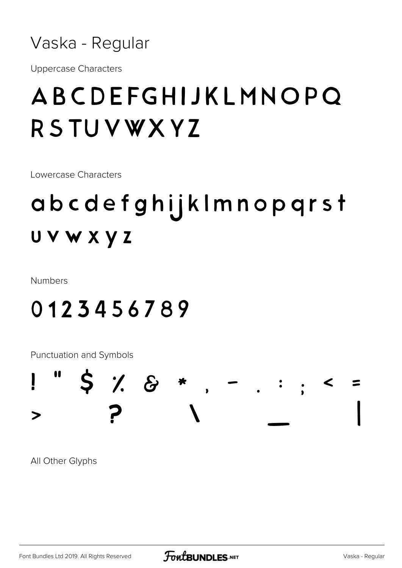

**Uppercase Characters** 

## ABCDEFGHIJKLMNOPQ RSTUVWXYZ

Lowercase Characters

## abcdefghijklmnopqrst UVWXYZ

**Numbers** 

#### 0123456789

Punctuation and Symbols



All Other Glyphs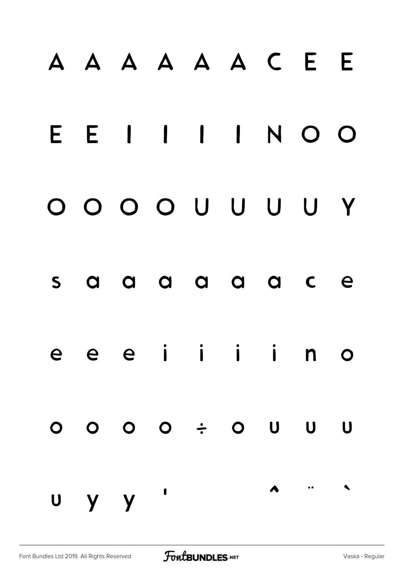# À Á Â Ã Ä Å Ç È É E E I I I I N O O Ô Õ Ö Ø Ù Ú Û Ü Ý s a a a a a a c e e e e i i i i n o ó ô õ ö ÷ ø ù ú û ü ý ÿ '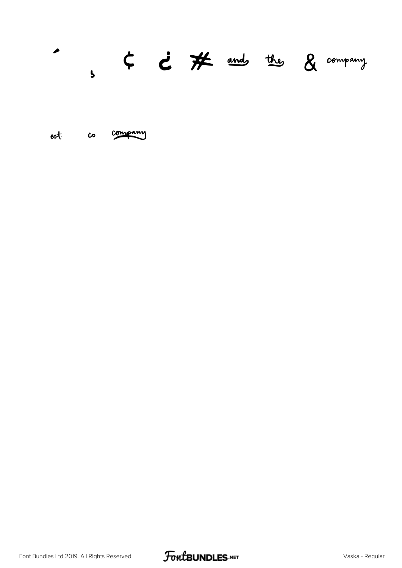#### $\overline{a}$  $s$   $\leftarrow$   $\leftarrow$   $\mathcal{H}$  and the  $g$  company

est co company

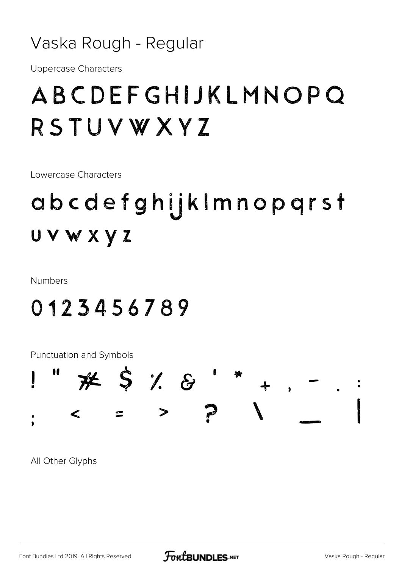#### Vaska Rough - Regular

**Uppercase Characters** 

### ABCDEFGHIJKLMNOPQ RSTUVWXYZ

Lowercase Characters

## abcdefghijklmnopqrst UVWXYZ

**Numbers** 

#### 0123456789

Punctuation and Symbols



All Other Glyphs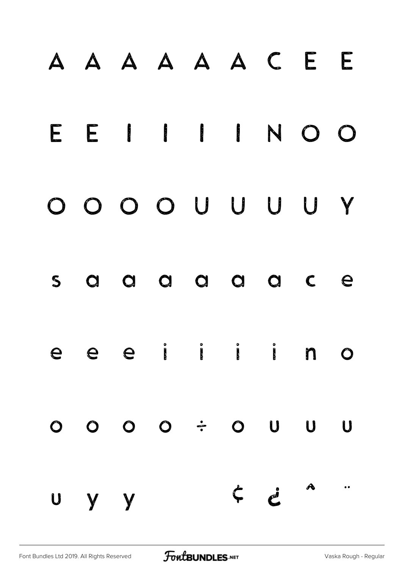# À Á Â Ã Ä Å Ç È É E E I I I I N O O Ô Õ Ö Ø Ù Ú Û Ü Ý s a a a a a a c e e e e i i i i n o ó ô õ ö ÷ ø ù ú û ü ý ÿ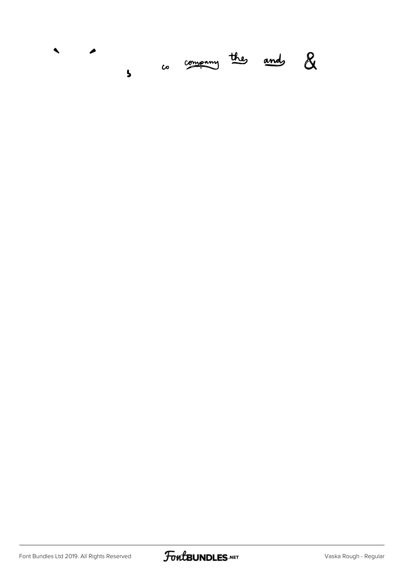

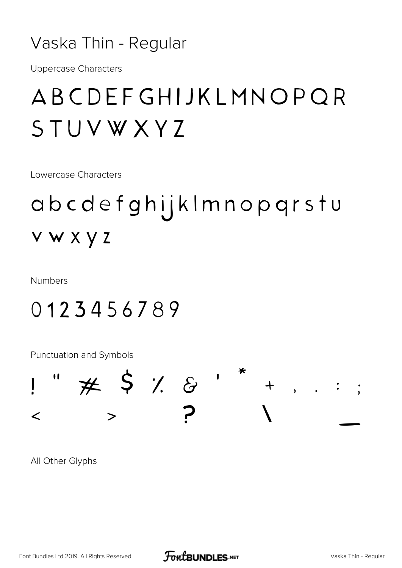#### Vaska Thin - Regular

**Uppercase Characters** 

### ABCDEFGHIJKLMNOPOR STUVWXYZ

Lowercase Characters

### abcdefghijklmnopqrstu vwxyz

**Numbers** 

#### 0123456789

**Punctuation and Symbols** 



All Other Glyphs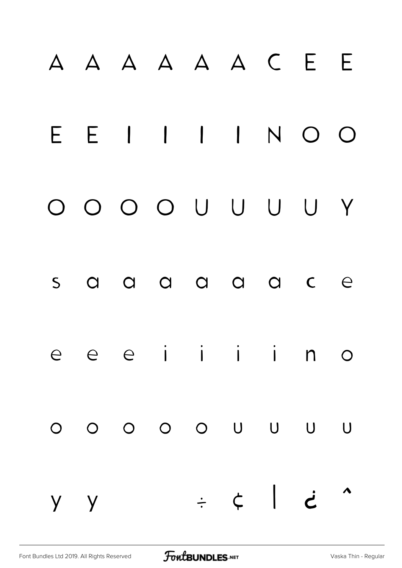# À Á Â Ã Ä Å Ç È É E E I I I I N O O Ô Õ Ö Ø Ù Ú Û Ü Ý s a a a a a a c e e e è i i i i n o ó ô õ ö ø ù ú û ü y y ÷ ¢ | ¿ ^